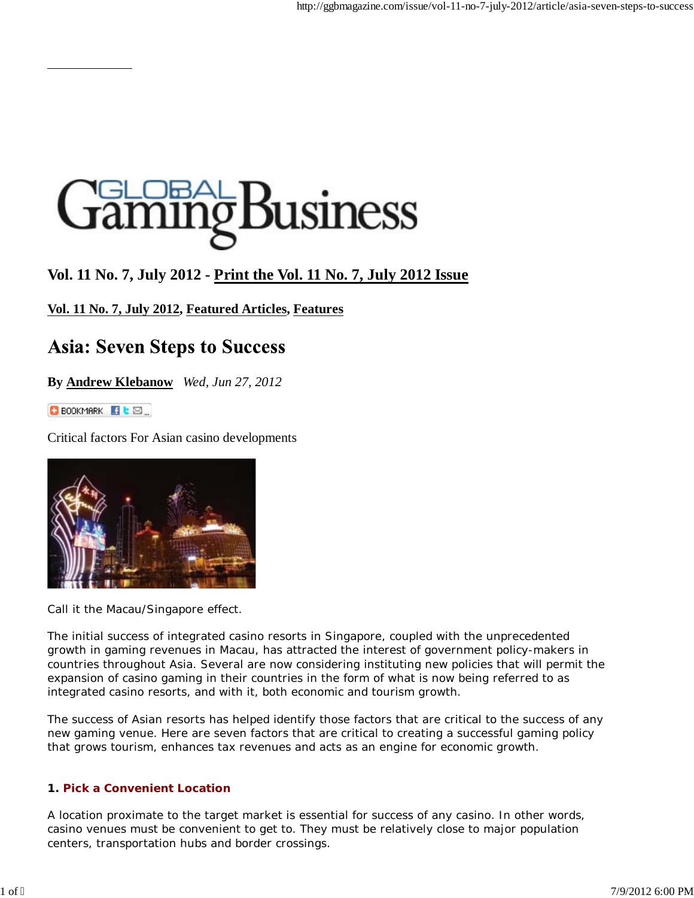# **Susiness**

# **Vol. 11 No. 7, July 2012 - Print the Vol. 11 No. 7, July 2012 Issue**

## **Vol. 11 No. 7, July 2012, Featured Articles, Features**

# **Asia: Seven Steps to Success**

**By Andrew Klebanow** *Wed, Jun 27, 2012*

BOOKMARK **It** E

Critical factors For Asian casino developments



Call it the Macau/Singapore effect.

The initial success of integrated casino resorts in Singapore, coupled with the unprecedented growth in gaming revenues in Macau, has attracted the interest of government policy-makers in countries throughout Asia. Several are now considering instituting new policies that will permit the expansion of casino gaming in their countries in the form of what is now being referred to as integrated casino resorts, and with it, both economic and tourism growth.

The success of Asian resorts has helped identify those factors that are critical to the success of any new gaming venue. Here are seven factors that are critical to creating a successful gaming policy that grows tourism, enhances tax revenues and acts as an engine for economic growth.

### **1. Pick a Convenient Location**

A location proximate to the target market is essential for success of any casino. In other words, casino venues must be convenient to get to. They must be relatively close to major population centers, transportation hubs and border crossings.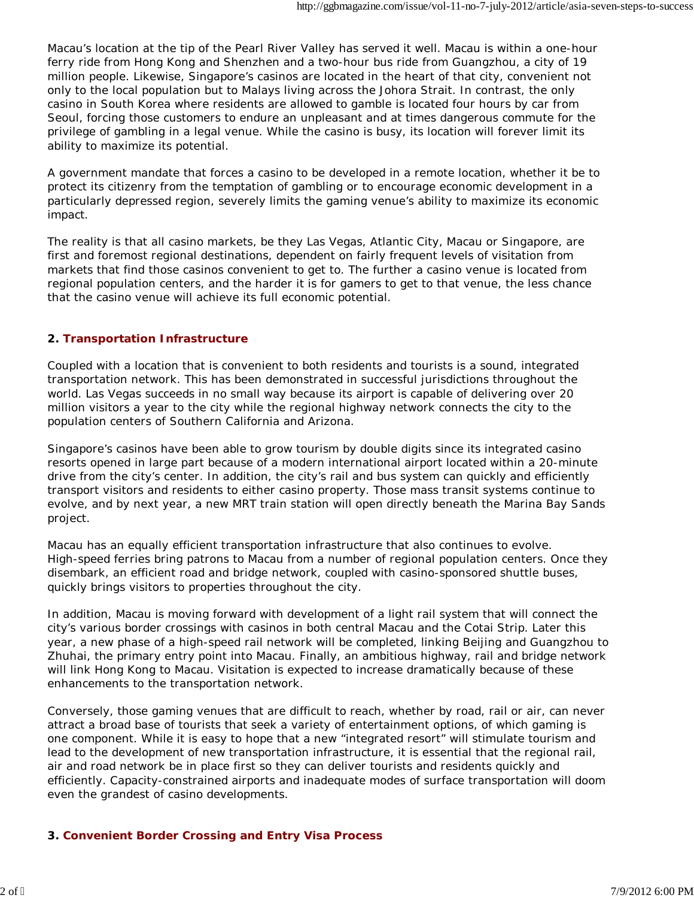Macau's location at the tip of the Pearl River Valley has served it well. Macau is within a one-hour ferry ride from Hong Kong and Shenzhen and a two-hour bus ride from Guangzhou, a city of 19 million people. Likewise, Singapore's casinos are located in the heart of that city, convenient not only to the local population but to Malays living across the Johora Strait. In contrast, the only casino in South Korea where residents are allowed to gamble is located four hours by car from Seoul, forcing those customers to endure an unpleasant and at times dangerous commute for the privilege of gambling in a legal venue. While the casino is busy, its location will forever limit its ability to maximize its potential.

A government mandate that forces a casino to be developed in a remote location, whether it be to protect its citizenry from the temptation of gambling or to encourage economic development in a particularly depressed region, severely limits the gaming venue's ability to maximize its economic impact.

The reality is that all casino markets, be they Las Vegas, Atlantic City, Macau or Singapore, are first and foremost regional destinations, dependent on fairly frequent levels of visitation from markets that find those casinos convenient to get to. The further a casino venue is located from regional population centers, and the harder it is for gamers to get to that venue, the less chance that the casino venue will achieve its full economic potential.

### **2. Transportation Infrastructure**

Coupled with a location that is convenient to both residents and tourists is a sound, integrated transportation network. This has been demonstrated in successful jurisdictions throughout the world. Las Vegas succeeds in no small way because its airport is capable of delivering over 20 million visitors a year to the city while the regional highway network connects the city to the population centers of Southern California and Arizona.

Singapore's casinos have been able to grow tourism by double digits since its integrated casino resorts opened in large part because of a modern international airport located within a 20-minute drive from the city's center. In addition, the city's rail and bus system can quickly and efficiently transport visitors and residents to either casino property. Those mass transit systems continue to evolve, and by next year, a new MRT train station will open directly beneath the Marina Bay Sands project.

Macau has an equally efficient transportation infrastructure that also continues to evolve. High-speed ferries bring patrons to Macau from a number of regional population centers. Once they disembark, an efficient road and bridge network, coupled with casino-sponsored shuttle buses, quickly brings visitors to properties throughout the city.

In addition, Macau is moving forward with development of a light rail system that will connect the city's various border crossings with casinos in both central Macau and the Cotai Strip. Later this year, a new phase of a high-speed rail network will be completed, linking Beijing and Guangzhou to Zhuhai, the primary entry point into Macau. Finally, an ambitious highway, rail and bridge network will link Hong Kong to Macau. Visitation is expected to increase dramatically because of these enhancements to the transportation network.

Conversely, those gaming venues that are difficult to reach, whether by road, rail or air, can never attract a broad base of tourists that seek a variety of entertainment options, of which gaming is one component. While it is easy to hope that a new "integrated resort" will stimulate tourism and lead to the development of new transportation infrastructure, it is essential that the regional rail, air and road network be in place first so they can deliver tourists and residents quickly and efficiently. Capacity-constrained airports and inadequate modes of surface transportation will doom even the grandest of casino developments.

### **3. Convenient Border Crossing and Entry Visa Process**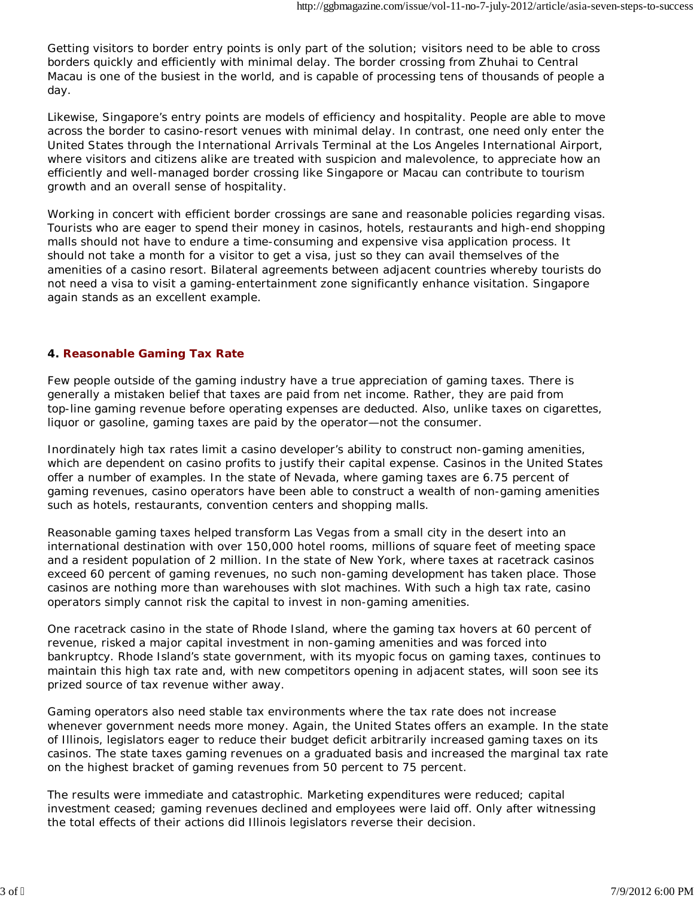Getting visitors to border entry points is only part of the solution; visitors need to be able to cross borders quickly and efficiently with minimal delay. The border crossing from Zhuhai to Central Macau is one of the busiest in the world, and is capable of processing tens of thousands of people a day.

Likewise, Singapore's entry points are models of efficiency and hospitality. People are able to move across the border to casino-resort venues with minimal delay. In contrast, one need only enter the United States through the International Arrivals Terminal at the Los Angeles International Airport, where visitors and citizens alike are treated with suspicion and malevolence, to appreciate how an efficiently and well-managed border crossing like Singapore or Macau can contribute to tourism growth and an overall sense of hospitality.

Working in concert with efficient border crossings are sane and reasonable policies regarding visas. Tourists who are eager to spend their money in casinos, hotels, restaurants and high-end shopping malls should not have to endure a time-consuming and expensive visa application process. It should not take a month for a visitor to get a visa, just so they can avail themselves of the amenities of a casino resort. Bilateral agreements between adjacent countries whereby tourists do not need a visa to visit a gaming-entertainment zone significantly enhance visitation. Singapore again stands as an excellent example.

### **4. Reasonable Gaming Tax Rate**

Few people outside of the gaming industry have a true appreciation of gaming taxes. There is generally a mistaken belief that taxes are paid from net income. Rather, they are paid from top-line gaming revenue before operating expenses are deducted. Also, unlike taxes on cigarettes, liquor or gasoline, gaming taxes are paid by the operator—not the consumer.

Inordinately high tax rates limit a casino developer's ability to construct non-gaming amenities, which are dependent on casino profits to justify their capital expense. Casinos in the United States offer a number of examples. In the state of Nevada, where gaming taxes are 6.75 percent of gaming revenues, casino operators have been able to construct a wealth of non-gaming amenities such as hotels, restaurants, convention centers and shopping malls.

Reasonable gaming taxes helped transform Las Vegas from a small city in the desert into an international destination with over 150,000 hotel rooms, millions of square feet of meeting space and a resident population of 2 million. In the state of New York, where taxes at racetrack casinos exceed 60 percent of gaming revenues, no such non-gaming development has taken place. Those casinos are nothing more than warehouses with slot machines. With such a high tax rate, casino operators simply cannot risk the capital to invest in non-gaming amenities.

One racetrack casino in the state of Rhode Island, where the gaming tax hovers at 60 percent of revenue, risked a major capital investment in non-gaming amenities and was forced into bankruptcy. Rhode Island's state government, with its myopic focus on gaming taxes, continues to maintain this high tax rate and, with new competitors opening in adjacent states, will soon see its prized source of tax revenue wither away.

Gaming operators also need stable tax environments where the tax rate does not increase whenever government needs more money. Again, the United States offers an example. In the state of Illinois, legislators eager to reduce their budget deficit arbitrarily increased gaming taxes on its casinos. The state taxes gaming revenues on a graduated basis and increased the marginal tax rate on the highest bracket of gaming revenues from 50 percent to 75 percent.

The results were immediate and catastrophic. Marketing expenditures were reduced; capital investment ceased; gaming revenues declined and employees were laid off. Only after witnessing the total effects of their actions did Illinois legislators reverse their decision.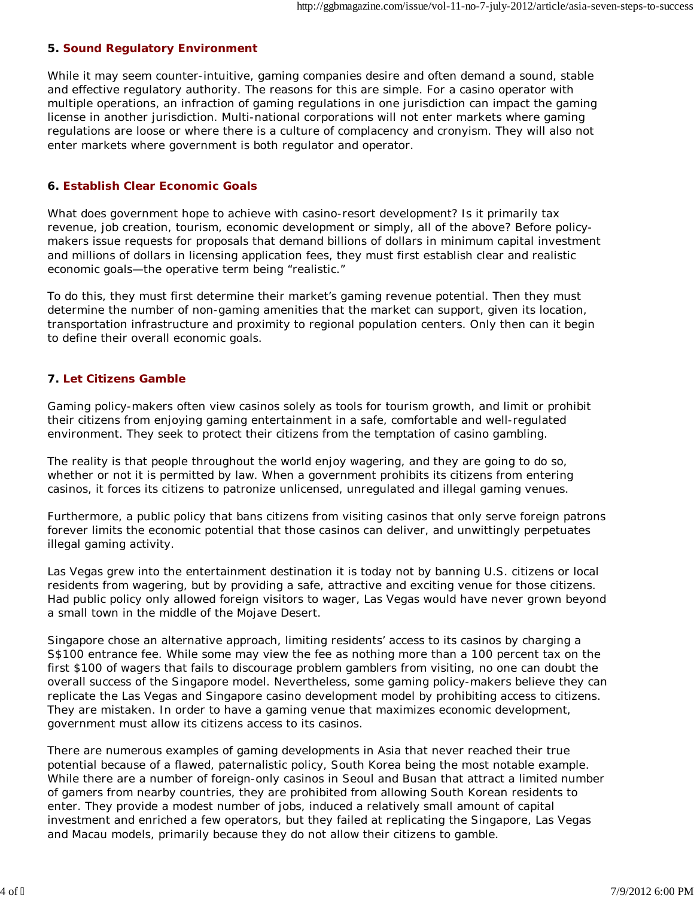### **5. Sound Regulatory Environment**

While it may seem counter-intuitive, gaming companies desire and often demand a sound, stable and effective regulatory authority. The reasons for this are simple. For a casino operator with multiple operations, an infraction of gaming regulations in one jurisdiction can impact the gaming license in another jurisdiction. Multi-national corporations will not enter markets where gaming regulations are loose or where there is a culture of complacency and cronyism. They will also not enter markets where government is both regulator and operator.

### **6. Establish Clear Economic Goals**

What does government hope to achieve with casino-resort development? Is it primarily tax revenue, job creation, tourism, economic development or simply, all of the above? Before policymakers issue requests for proposals that demand billions of dollars in minimum capital investment and millions of dollars in licensing application fees, they must first establish clear and realistic economic goals—the operative term being "realistic."

To do this, they must first determine their market's gaming revenue potential. Then they must determine the number of non-gaming amenities that the market can support, given its location, transportation infrastructure and proximity to regional population centers. Only then can it begin to define their overall economic goals.

### **7. Let Citizens Gamble**

Gaming policy-makers often view casinos solely as tools for tourism growth, and limit or prohibit their citizens from enjoying gaming entertainment in a safe, comfortable and well-regulated environment. They seek to protect their citizens from the temptation of casino gambling.

The reality is that people throughout the world enjoy wagering, and they are going to do so, whether or not it is permitted by law. When a government prohibits its citizens from entering casinos, it forces its citizens to patronize unlicensed, unregulated and illegal gaming venues.

Furthermore, a public policy that bans citizens from visiting casinos that only serve foreign patrons forever limits the economic potential that those casinos can deliver, and unwittingly perpetuates illegal gaming activity.

Las Vegas grew into the entertainment destination it is today not by banning U.S. citizens or local residents from wagering, but by providing a safe, attractive and exciting venue for those citizens. Had public policy only allowed foreign visitors to wager, Las Vegas would have never grown beyond a small town in the middle of the Mojave Desert.

Singapore chose an alternative approach, limiting residents' access to its casinos by charging a S\$100 entrance fee. While some may view the fee as nothing more than a 100 percent tax on the first \$100 of wagers that fails to discourage problem gamblers from visiting, no one can doubt the overall success of the Singapore model. Nevertheless, some gaming policy-makers believe they can replicate the Las Vegas and Singapore casino development model by prohibiting access to citizens. They are mistaken. In order to have a gaming venue that maximizes economic development, government must allow its citizens access to its casinos.

There are numerous examples of gaming developments in Asia that never reached their true potential because of a flawed, paternalistic policy, South Korea being the most notable example. While there are a number of foreign-only casinos in Seoul and Busan that attract a limited number of gamers from nearby countries, they are prohibited from allowing South Korean residents to enter. They provide a modest number of jobs, induced a relatively small amount of capital investment and enriched a few operators, but they failed at replicating the Singapore, Las Vegas and Macau models, primarily because they do not allow their citizens to gamble.